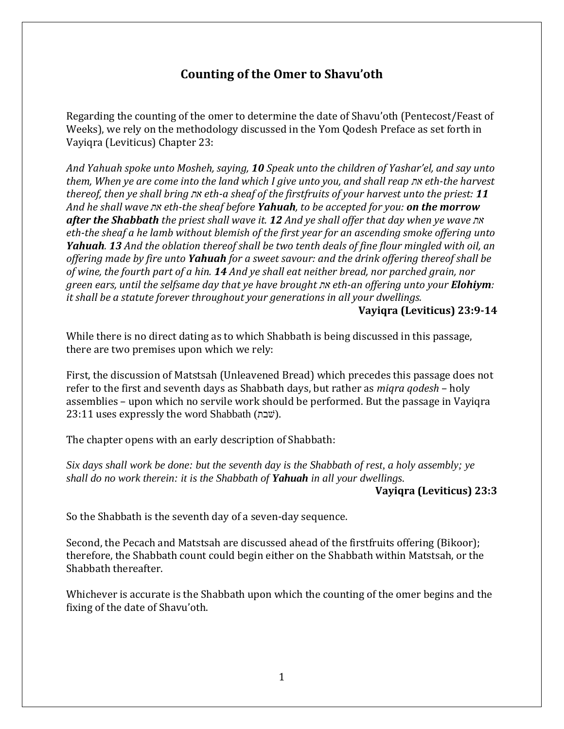# **Counting of the Omer to Shavu'oth**

Regarding the counting of the omer to determine the date of Shavu'oth (Pentecost/Feast of Weeks), we rely on the methodology discussed in the Yom Qodesh Preface as set forth in Vayiqra (Leviticus) Chapter 23:

*And Yahuah spoke unto Mosheh, saying, 10 Speak unto the children of Yashar'el, and say unto them, When ye are come into the land which I give unto you, and shall reap את eth-the harvest thereof, then ye shall bring את eth-a sheaf of the firstfruits of your harvest unto the priest: 11 And he shall wave את eth-the sheaf before Yahuah, to be accepted for you: on the morrow after the Shabbath the priest shall wave it. 12 And ye shall offer that day when ye wave את eth-the sheaf a he lamb without blemish of the first year for an ascending smoke offering unto Yahuah. 13 And the oblation thereof shall be two tenth deals of fine flour mingled with oil, an offering made by fire unto Yahuah for a sweet savour: and the drink offering thereof shall be of wine, the fourth part of a hin. 14 And ye shall eat neither bread, nor parched grain, nor green ears, until the selfsame day that ye have brought את eth-an offering unto your Elohiym: it shall be a statute forever throughout your generations in all your dwellings.* 

### **Vayiqra (Leviticus) 23:9-14**

While there is no direct dating as to which Shabbath is being discussed in this passage, there are two premises upon which we rely:

First, the discussion of Matstsah (Unleavened Bread) which precedes this passage does not refer to the first and seventh days as Shabbath days, but rather as *miqra qodesh* – holy assemblies – upon which no servile work should be performed. But the passage in Vayiqra 23:11 uses expressly the word Shabbath (שבת).

The chapter opens with an early description of Shabbath:

*Six days shall work be done: but the seventh day is the Shabbath of rest, a holy assembly; ye shall do no work therein: it is the Shabbath of Yahuah in all your dwellings.*

## **Vayiqra (Leviticus) 23:3**

So the Shabbath is the seventh day of a seven-day sequence.

Second, the Pecach and Matstsah are discussed ahead of the firstfruits offering (Bikoor); therefore, the Shabbath count could begin either on the Shabbath within Matstsah, or the Shabbath thereafter.

Whichever is accurate is the Shabbath upon which the counting of the omer begins and the fixing of the date of Shavu'oth.